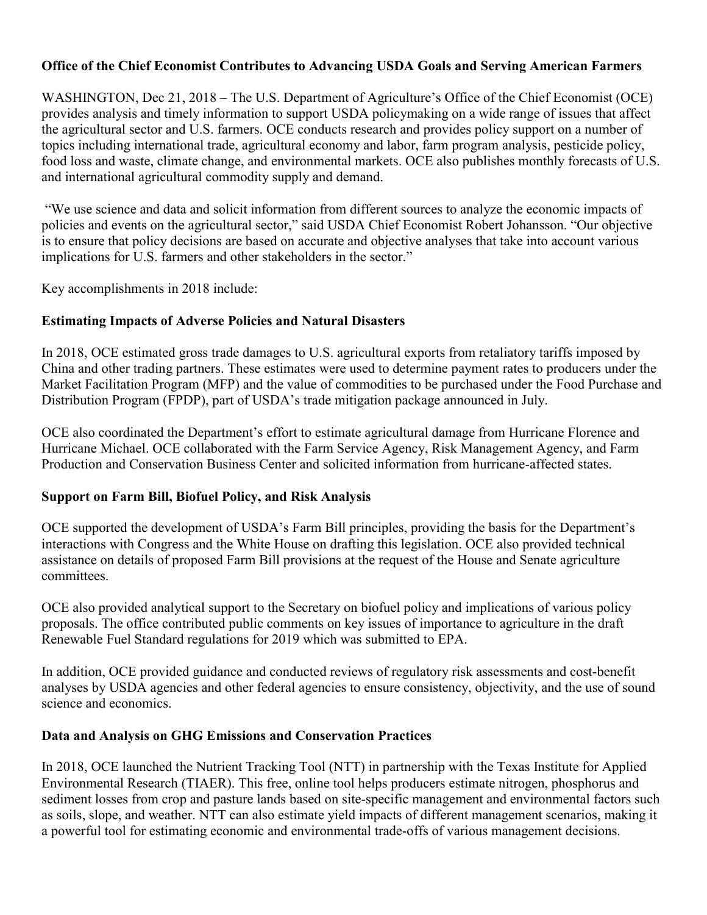### **Office of the Chief Economist Contributes to Advancing USDA Goals and Serving American Farmers**

WASHINGTON, Dec 21, 2018 – The U.S. Department of Agriculture's Office of the Chief Economist (OCE) provides analysis and timely information to support USDA policymaking on a wide range of issues that affect the agricultural sector and U.S. farmers. OCE conducts research and provides policy support on a number of topics including international trade, agricultural economy and labor, farm program analysis, pesticide policy, food loss and waste, climate change, and environmental markets. OCE also publishes monthly forecasts of U.S. and international agricultural commodity supply and demand.

"We use science and data and solicit information from different sources to analyze the economic impacts of policies and events on the agricultural sector," said USDA Chief Economist Robert Johansson. "Our objective is to ensure that policy decisions are based on accurate and objective analyses that take into account various implications for U.S. farmers and other stakeholders in the sector."

Key accomplishments in 2018 include:

### **Estimating Impacts of Adverse Policies and Natural Disasters**

In 2018, OCE estimated gross trade damages to U.S. agricultural exports from retaliatory tariffs imposed by China and other trading partners. These estimates were used to determine payment rates to producers under the Market Facilitation Program (MFP) and the value of commodities to be purchased under the Food Purchase and Distribution Program (FPDP), part of USDA's trade mitigation package announced in July.

OCE also coordinated the Department's effort to estimate agricultural damage from Hurricane Florence and Hurricane Michael. OCE collaborated with the Farm Service Agency, Risk Management Agency, and Farm Production and Conservation Business Center and solicited information from hurricane-affected states.

### **Support on Farm Bill, Biofuel Policy, and Risk Analysis**

OCE supported the development of USDA's Farm Bill principles, providing the basis for the Department's interactions with Congress and the White House on drafting this legislation. OCE also provided technical assistance on details of proposed Farm Bill provisions at the request of the House and Senate agriculture committees.

OCE also provided analytical support to the Secretary on biofuel policy and implications of various policy proposals. The office contributed public comments on key issues of importance to agriculture in the draft Renewable Fuel Standard regulations for 2019 which was submitted to EPA.

In addition, OCE provided guidance and conducted reviews of regulatory risk assessments and cost-benefit analyses by USDA agencies and other federal agencies to ensure consistency, objectivity, and the use of sound science and economics.

### **Data and Analysis on GHG Emissions and Conservation Practices**

In 2018, OCE launched the Nutrient Tracking Tool (NTT) in partnership with the Texas Institute for Applied Environmental Research (TIAER). This free, online tool helps producers estimate nitrogen, phosphorus and sediment losses from crop and pasture lands based on site-specific management and environmental factors such as soils, slope, and weather. NTT can also estimate yield impacts of different management scenarios, making it a powerful tool for estimating economic and environmental trade-offs of various management decisions.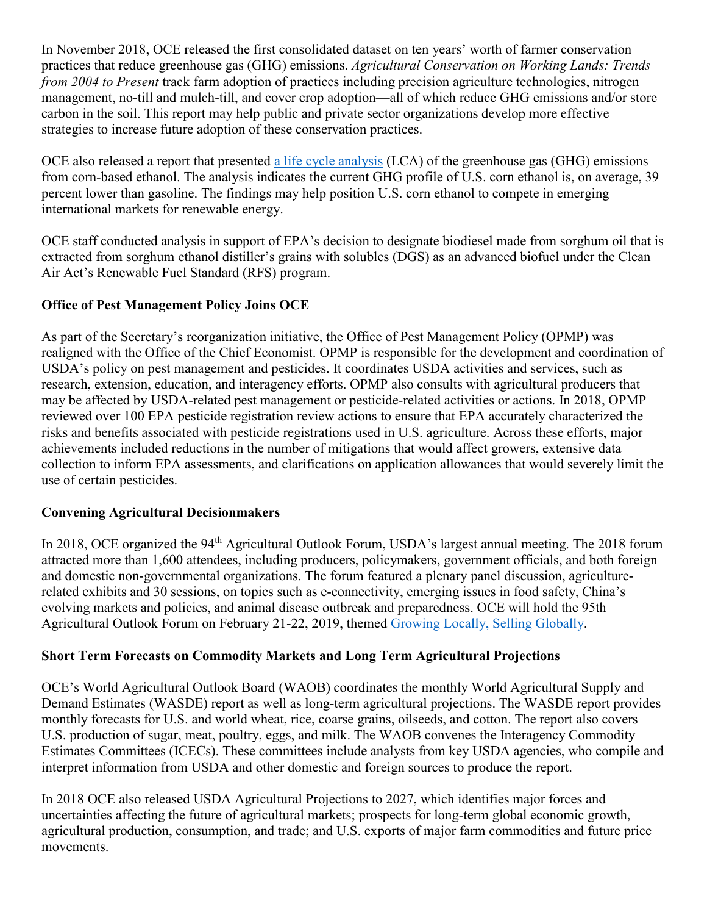In November 2018, OCE released the first consolidated dataset on ten years' worth of farmer conservation practices that reduce greenhouse gas (GHG) emissions. *Agricultural Conservation on Working Lands: Trends from 2004 to Present* track farm adoption of practices including precision agriculture technologies, nitrogen management, no-till and mulch-till, and cover crop adoption—all of which reduce GHG emissions and/or store carbon in the soil. This report may help public and private sector organizations develop more effective strategies to increase future adoption of these conservation practices.

OCE also released a report that presented a life [cycle analysis](https://www.usda.gov/oce/climate_change/mitigation_technologies/LCA_of_Corn_Ethanol_2018_Report.pdf) (LCA) of the greenhouse gas (GHG) emissions from corn-based ethanol. The analysis indicates the current GHG profile of U.S. corn ethanol is, on average, 39 percent lower than gasoline. The findings may help position U.S. corn ethanol to compete in emerging international markets for renewable energy.

OCE staff conducted analysis in support of EPA's decision to designate biodiesel made from sorghum oil that is extracted from sorghum ethanol distiller's grains with solubles (DGS) as an advanced biofuel under the Clean Air Act's Renewable Fuel Standard (RFS) program.

## **Office of Pest Management Policy Joins OCE**

As part of the Secretary's reorganization initiative, the Office of Pest Management Policy (OPMP) was realigned with the Office of the Chief Economist. OPMP is responsible for the development and coordination of USDA's policy on pest management and pesticides. It coordinates USDA activities and services, such as research, extension, education, and interagency efforts. OPMP also consults with agricultural producers that may be affected by USDA-related pest management or pesticide-related activities or actions. In 2018, OPMP reviewed over 100 EPA pesticide registration review actions to ensure that EPA accurately characterized the risks and benefits associated with pesticide registrations used in U.S. agriculture. Across these efforts, major achievements included reductions in the number of mitigations that would affect growers, extensive data collection to inform EPA assessments, and clarifications on application allowances that would severely limit the use of certain pesticides.

## **Convening Agricultural Decisionmakers**

In 2018, OCE organized the 94<sup>th</sup> Agricultural Outlook Forum, USDA's largest annual meeting. The 2018 forum attracted more than 1,600 attendees, including producers, policymakers, government officials, and both foreign and domestic non-governmental organizations. The forum featured a plenary panel discussion, agriculturerelated exhibits and 30 sessions, on topics such as e-connectivity, emerging issues in food safety, China's evolving markets and policies, and animal disease outbreak and preparedness. OCE will hold the 95th Agricultural Outlook Forum on February 21-22, 2019, themed [Growing Locally, Selling Globally.](https://www.usda.gov/oce/forum/index.htm)

### **Short Term Forecasts on Commodity Markets and Long Term Agricultural Projections**

OCE's World Agricultural Outlook Board (WAOB) coordinates the monthly World Agricultural Supply and Demand Estimates (WASDE) report as well as long-term agricultural projections. The WASDE report provides monthly forecasts for U.S. and world wheat, rice, coarse grains, oilseeds, and cotton. The report also covers U.S. production of sugar, meat, poultry, eggs, and milk. The WAOB convenes the Interagency Commodity Estimates Committees (ICECs). These committees include analysts from key USDA agencies, who compile and interpret information from USDA and other domestic and foreign sources to produce the report.

In 2018 OCE also released USDA Agricultural Projections to 2027, which identifies major forces and uncertainties affecting the future of agricultural markets; prospects for long-term global economic growth, agricultural production, consumption, and trade; and U.S. exports of major farm commodities and future price movements.